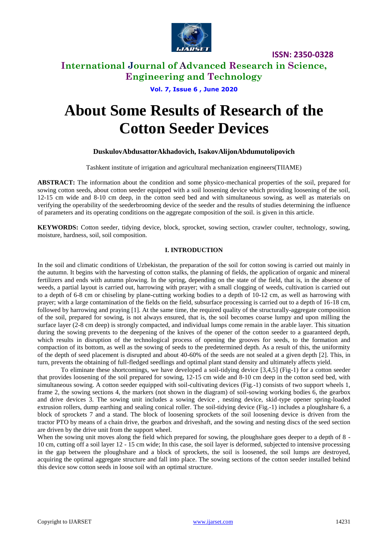

### **International Journal of Advanced Research in Science, Engineering and Technology**

**Vol. 7, Issue 6 , June 2020**

# **About Some Results of Research of the Cotton Seeder Devices**

#### **DuskulovAbdusattorAkhadovich, IsakovAlijonAbdumutolipovich**

Tashkent institute of irrigation and agricultural mechanization engineers(TIIAME)

**ABSTRACT:** The information about the condition and some physico-mechanical properties of the soil, prepared for sowing cotton seeds, about cotton seeder equipped with a soil loosening device which providing loosening of the soil, 12-15 cm wide and 8-10 cm deep, in the cotton seed bed and with simultaneous sowing, as well as materials on verifying the operability of the seederbrooming device of the seeder and the results of studies determining the influence of parameters and its operating conditions on the aggregate composition of the soil. is given in this article.

**KEYWORDS:** Cotton seeder, tidying device, block, sprocket, sowing section, crawler coulter, technology, sowing, moisture, hardness, soil, soil composition.

#### **I. INTRODUCTION**

In the soil and climatic conditions of Uzbekistan, the preparation of the soil for cotton sowing is carried out mainly in the autumn. It begins with the harvesting of cotton stalks, the planning of fields, the application of organic and mineral fertilizers and ends with autumn plowing. In the spring, depending on the state of the field, that is, in the absence of weeds, a partial layout is carried out, harrowing with prayer; with a small clogging of weeds, cultivation is carried out to a depth of 6-8 cm or chiseling by plane-cutting working bodies to a depth of 10-12 cm, as well as harrowing with prayer; with a large contamination of the fields on the field, subsurface processing is carried out to a depth of 16-18 cm, followed by harrowing and praying [1]. At the same time, the required quality of the structurally-aggregate composition of the soil, prepared for sowing, is not always ensured, that is, the soil becomes coarse lumpy and upon milling the surface layer (2-8 cm deep) is strongly compacted, and individual lumps come remain in the arable layer. This situation during the sowing prevents to the deepening of the knives of the opener of the cotton seeder to a guaranteed depth, which results in disruption of the technological process of opening the grooves for seeds, to the formation and compaction of its bottom, as well as the sowing of seeds to the predetermined depth. As a result of this, the uniformity of the depth of seed placement is disrupted and about 40-60% of the seeds are not sealed at a given depth [2]. This, in turn, prevents the obtaining of full-fledged seedlings and optimal plant stand density and ultimately affects yield.

To eliminate these shortcomings, we have developed a soil-tidying device [3,4,5] (Fig-1) for a cotton seeder that provides loosening of the soil prepared for sowing, 12-15 cm wide and 8-10 cm deep in the cotton seed bed, with simultaneous sowing. A cotton seeder equipped with soil-cultivating devices (Fig.-1) consists of two support wheels 1, frame 2, the sowing sections 4, the markers (not shown in the diagram) of soil-sowing working bodies 6, the gearbox and drive devices 3. The sowing unit includes a sowing device , nesting device, skid-type opener spring-loaded extrusion rollers, dump earthing and sealing conical roller. The soil-tidying device (Fig.-1) includes a ploughshare 6, a block of sprockets 7 and a stand. The block of loosening sprockets of the soil loosening device is driven from the tractor PTO by means of a chain drive, the gearbox and driveshaft, and the sowing and nesting discs of the seed section are driven by the drive unit from the support wheel.

When the sowing unit moves along the field which prepared for sowing, the ploughshare goes deeper to a depth of 8 -10 cm, cutting off a soil layer 12 - 15 cm wide; In this case, the soil layer is deformed, subjected to intensive processing in the gap between the ploughshare and a block of sprockets, the soil is loosened, the soil lumps are destroyed, acquiring the optimal aggregate structure and fall into place. The sowing sections of the cotton seeder installed behind this device sow cotton seeds in loose soil with an optimal structure.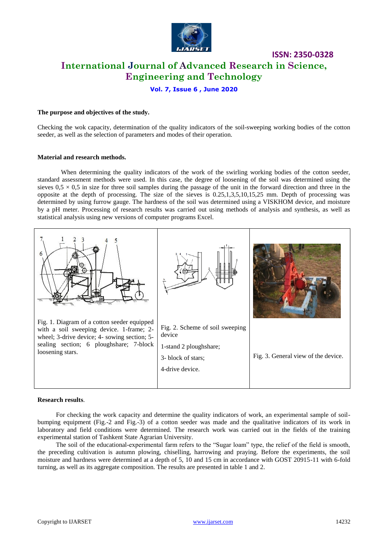

## **ISSN: 2350-0328 International Journal of Advanced Research in Science, Engineering and Technology**

#### **Vol. 7, Issue 6 , June 2020**

#### **The purpose and objectives of the study.**

Checking the wok capacity, determination of the quality indicators of the soil-sweeping working bodies of the cotton seeder, as well as the selection of parameters and modes of their operation.

#### **Material and research methods.**

When determining the quality indicators of the work of the swirling working bodies of the cotton seeder, standard assessment methods were used. In this case, the degree of loosening of the soil was determined using the sieves  $0.5 \times 0.5$  in size for three soil samples during the passage of the unit in the forward direction and three in the opposite at the depth of processing. The size of the sieves is 0.25,1,3,5,10,15,25 mm. Depth of processing was determined by using furrow gauge. The hardness of the soil was determined using a VISKHOM device, and moisture by a pH meter. Processing of research results was carried out using methods of analysis and synthesis, as well as statistical analysis using new versions of computer programs Excel.



#### **Research results**.

For checking the work capacity and determine the quality indicators of work, an experimental sample of soilbumping equipment (Fig.-2 and Fig.-3) of a cotton seeder was made and the qualitative indicators of its work in laboratory and field conditions were determined. The research work was carried out in the fields of the training experimental station of Tashkent State Agrarian University.

The soil of the educational-experimental farm refers to the "Sugar loam" type, the relief of the field is smooth, the preceding cultivation is autumn plowing, chiselling, harrowing and praying. Before the experiments, the soil moisture and hardness were determined at a depth of 5, 10 and 15 cm in accordance with GOST 20915-11 with 6-fold turning, as well as its aggregate composition. The results are presented in table 1 and 2.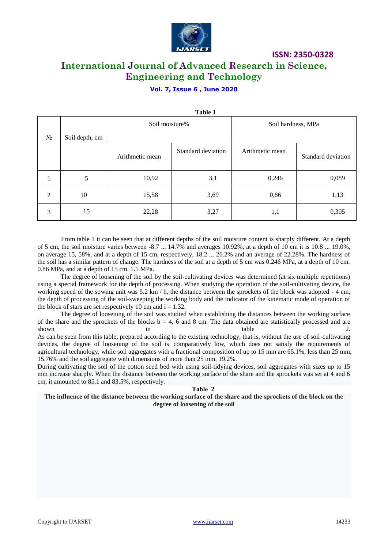

## **International Journal of Advanced Research in Science, Engineering and Technology**

**ISSN: 2350-0328**

#### **Vol. 7, Issue 6 , June 2020**

|       | Table 1        |                 |                    |                    |                    |  |  |  |  |  |  |  |  |
|-------|----------------|-----------------|--------------------|--------------------|--------------------|--|--|--|--|--|--|--|--|
| $N_2$ | Soil depth, cm | Soil moisture%  |                    | Soil hardness, MPa |                    |  |  |  |  |  |  |  |  |
|       |                | Arithmetic mean | Standard deviation | Arithmetic mean    | Standard deviation |  |  |  |  |  |  |  |  |
|       | 5              | 10,92           | 3,1                | 0,246              | 0,089              |  |  |  |  |  |  |  |  |
| 2     | 10             | 15,58           | 3,69               | 0,86               | 1,13               |  |  |  |  |  |  |  |  |
| 3     | 15             | 22,28           | 3,27               | 1,1                | 0,305              |  |  |  |  |  |  |  |  |

From table 1 it can be seen that at different depths of the soil moisture content is sharply different. At a depth of 5 cm, the soil moisture varies between  $-8.7$  ... 14.7% and averages 10.92%, at a depth of 10 cm it is 10.8 ... 19.0%, on average 15, 58%, and at a depth of 15 cm, respectively, 18.2 ... 26.2% and an average of 22.28%. The hardness of the soil has a similar pattern of change. The hardness of the soil at a depth of 5 cm was 0.246 MPa, at a depth of 10 cm. 0.86 MPa, and at a depth of 15 cm. 1.1 MPa.

The degree of loosening of the soil by the soil-cultivating devices was determined (at six multiple repetitions) using a special framework for the depth of processing. When studying the operation of the soil-cultivating device, the working speed of the sowing unit was 5.2 km / h, the distance between the sprockets of the block was adopted - 4 cm, the depth of processing of the soil-sweeping the working body and the indicator of the kinematic mode of operation of the block of stars are set respectively 10 cm and  $i = 1.32$ .

The degree of loosening of the soil was studied when establishing the distances between the working surface of the share and the sprockets of the blocks  $b = 4, 6$  and 8 cm. The data obtained are statistically processed and are shown in table 2.

As can be seen from this table, prepared according to the existing technology, that is, without the use of soil-cultivating devices, the degree of loosening of the soil is comparatively low, which does not satisfy the requirements of agricultural technology, while soil aggregates with a fractional composition of up to 15 mm are 65.1%, less than 25 mm, 15.76% and the soil aggregate with dimensions of more than 25 mm, 19.2%.

During cultivating the soil of the cotton seed bed with using soil-tidying devices, soil aggregates with sizes up to 15 mm increase sharply. When the distance between the working surface of the share and the sprockets was set at 4 and 6 cm, it amounted to 85.1 and 83.5%, respectively.

#### **Таble 2**

**The influence of the distance between the working surface of the share and the sprockets of the block on the degree of loosening of the soil**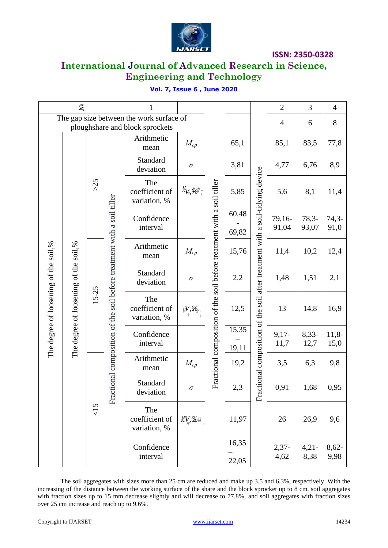

## **International Journal of Advanced Research in Science, Engineering and Technology**

|  |  |  | <b>Vol. 7, Issue 6, June 2020</b> |  |
|--|--|--|-----------------------------------|--|
|--|--|--|-----------------------------------|--|

| $\tilde{\mathbf{x}}$                                                           |  |           | $\mathbf 1$                                                            |                                       |                                                                             |  |                | $\overline{2}$                             | 3                                     | $\overline{4}$   |                                                                        |      |                                 |    |      |
|--------------------------------------------------------------------------------|--|-----------|------------------------------------------------------------------------|---------------------------------------|-----------------------------------------------------------------------------|--|----------------|--------------------------------------------|---------------------------------------|------------------|------------------------------------------------------------------------|------|---------------------------------|----|------|
| The gap size between the work surface of<br>ploughshare and block sprockets    |  |           |                                                                        |                                       |                                                                             |  |                |                                            | $\overline{4}$                        | 6                | $8\,$                                                                  |      |                                 |    |      |
|                                                                                |  |           |                                                                        | Arithmetic<br>mean                    | $M_{cp}$                                                                    |  | 65,1           |                                            | 85,1                                  | 83,5             | 77,8                                                                   |      |                                 |    |      |
|                                                                                |  |           |                                                                        | Standard<br>deviation                 | $\sigma$                                                                    |  | 3,81           |                                            | 4,77                                  | 6,76             | 8,9                                                                    |      |                                 |    |      |
| The degree of loosening of the soil,%<br>The degree of loosening of the soil,% |  | $>25$     | Fractional composition of the soil before treatment with a soil tiller | The<br>coefficient of<br>variation, % | $M_{\tilde{V}_{\tilde{v}}}$ $\phi_{\tilde{\omega}}$ $\phi_{\tilde{\omega}}$ |  | 5,85           | after treatment with a soil-tidying device | 5,6                                   | 8,1              | 11,4                                                                   |      |                                 |    |      |
|                                                                                |  |           |                                                                        | Confidence<br>interval                |                                                                             |  | 60,48<br>69,82 |                                            | 79,16-<br>91,04                       | $78,3-$<br>93,07 | $74,3-$<br>91,0                                                        |      |                                 |    |      |
|                                                                                |  |           |                                                                        | Arithmetic<br>mean                    | $M_{cp}$                                                                    |  | 15,76          |                                            | 11,4                                  | 10,2             | 12,4                                                                   |      |                                 |    |      |
|                                                                                |  |           |                                                                        | Standard<br>deviation                 | $\sigma$                                                                    |  | 2,2            |                                            | 1,48                                  | 1,51             | 2,1                                                                    |      |                                 |    |      |
|                                                                                |  | $15 - 25$ |                                                                        |                                       |                                                                             |  |                |                                            | The<br>coefficient of<br>variation, % | $M, \%$          | Fractional composition of the soil before treatment with a soil tiller | 12,5 | ctional composition of the soil | 13 | 14,8 |
|                                                                                |  |           |                                                                        | Confidence<br>interval                |                                                                             |  | 15,35<br>19,11 |                                            | $9,17-$<br>11,7                       | $8,33-$<br>12,7  | $11,8-$<br>15,0                                                        |      |                                 |    |      |
|                                                                                |  |           |                                                                        | Arithmetic<br>mean                    | $M_{cp}$                                                                    |  | 19,2           |                                            | 3,5                                   | 6,3              | 9,8                                                                    |      |                                 |    |      |
|                                                                                |  |           | 55                                                                     | Standard<br>deviation                 | $\sigma$                                                                    |  | 2,3            | Fra                                        | 0,91                                  | 1,68             | 0,95                                                                   |      |                                 |    |      |
|                                                                                |  |           |                                                                        | The<br>coefficient of<br>variation, % | $M V_{\omega}$ , $\mathscr{L}_{\!\!\mathit{ot}}$                            |  | 11,97          |                                            | 26                                    | 26,9             | 9,6                                                                    |      |                                 |    |      |
|                                                                                |  |           |                                                                        | Confidence<br>interval                |                                                                             |  | 16,35<br>22,05 |                                            | $2,37-$<br>4,62                       | $4,21-$<br>8,38  | $8,62-$<br>9,98                                                        |      |                                 |    |      |

The soil aggregates with sizes more than 25 cm are reduced and make up 3.5 and 6.3%, respectively. With the increasing of the distance between the working surface of the share and the block sprocket up to 8 cm, soil aggregates with fraction sizes up to 15 mm decrease slightly and will decrease to 77.8%, and soil aggregates with fraction sizes over 25 cm increase and reach up to 9.6%.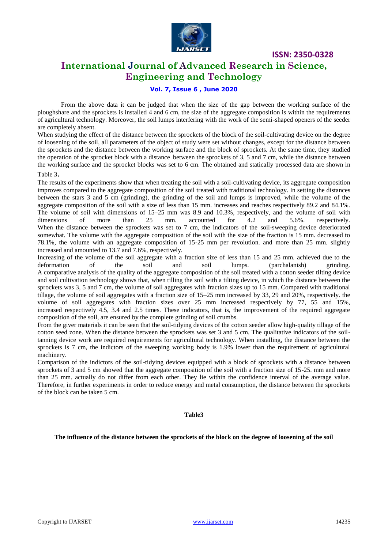

## **International Journal of Advanced Research in Science, Engineering and Technology**

#### **Vol. 7, Issue 6 , June 2020**

From the above data it can be judged that when the size of the gap between the working surface of the ploughshare and the sprockets is installed 4 and 6 cm, the size of the aggregate composition is within the requirements of agricultural technology. Moreover, the soil lumps interfering with the work of the semi-shaped openers of the seeder are completely absent.

When studying the effect of the distance between the sprockets of the block of the soil-cultivating device on the degree of loosening of the soil, all parameters of the object of study were set without changes, except for the distance between the sprockets and the distance between the working surface and the block of sprockets. At the same time, they studied the operation of the sprocket block with a distance between the sprockets of 3, 5 and 7 cm, while the distance between the working surface and the sprocket blocks was set to 6 cm. The obtained and statically processed data are shown in Table 3.

The results of the experiments show that when treating the soil with a soil-cultivating device, its aggregate composition improves compared to the aggregate composition of the soil treated with traditional technology. In setting the distances between the stars 3 and 5 cm (grinding), the grinding of the soil and lumps is improved, while the volume of the aggregate composition of the soil with a size of less than 15 mm. increases and reaches respectively 89.2 and 84.1%. The volume of soil with dimensions of 15–25 mm was 8.9 and 10.3%, respectively, and the volume of soil with dimensions of more than 25 mm. accounted for 4.2 and 5.6% respectively. When the distance between the sprockets was set to 7 cm, the indicators of the soil-sweeping device deteriorated somewhat. The volume with the aggregate composition of the soil with the size of the fraction is 15 mm. decreased to 78.1%, the volume with an aggregate composition of 15-25 mm per revolution. and more than 25 mm. slightly increased and amounted to 13.7 and 7.6%, respectively.

Increasing of the volume of the soil aggregate with a fraction size of less than 15 and 25 mm. achieved due to the deformation of the soil and soil lumps. (parchalanish) grinding. A comparative analysis of the quality of the aggregate composition of the soil treated with a cotton seeder tilting device and soil cultivation technology shows that, when tilling the soil with a tilting device, in which the distance between the sprockets was 3, 5 and 7 cm, the volume of soil aggregates with fraction sizes up to 15 mm. Compared with traditional tillage, the volume of soil aggregates with a fraction size of 15–25 mm increased by 33, 29 and 20%, respectively. the volume of soil aggregates with fraction sizes over 25 mm increased respectively by 77, 55 and 15%, increased respectively 4.5, 3.4 and 2.5 times. These indicators, that is, the improvement of the required aggregate composition of the soil, are ensured by the complete grinding of soil crumbs.

From the giver materials it can be seen that the soil-tidying devices of the cotton seeder allow high-quality tillage of the cotton seed zone. When the distance between the sprockets was set 3 and 5 cm. The qualitative indicators of the soiltanning device work are required requirements for agricultural technology. When installing, the distance between the sprockets is 7 cm, the indictors of the sweeping working body is 1.9% lower than the requirement of agricultural machinery.

Comparison of the indictors of the soil-tidying devices equipped with a block of sprockets with a distance between sprockets of 3 and 5 cm showed that the aggregate composition of the soil with a fraction size of 15-25. mm and more than 25 mm. actually do not differ from each other. They lie within the confidence interval of the average value. Therefore, in further experiments in order to reduce energy and metal consumption, the distance between the sprockets of the block can be taken 5 cm.

#### **Table3**

**The influence of the distance between the sprockets of the block on the degree of loosening of the soil**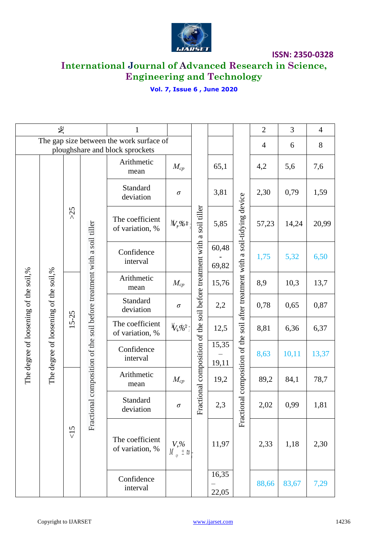

## **International Journal of Advanced Research in Science, Engineering and Technology**

## **Vol. 7, Issue 6 , June 2020**

| ৼ                                                                           |                                       | 1        |                                                                        |                                          |                                    |                                                                                           | $\overline{2}$ | 3                                               | $\overline{4}$ |       |       |      |
|-----------------------------------------------------------------------------|---------------------------------------|----------|------------------------------------------------------------------------|------------------------------------------|------------------------------------|-------------------------------------------------------------------------------------------|----------------|-------------------------------------------------|----------------|-------|-------|------|
| The gap size between the work surface of<br>ploughshare and block sprockets |                                       |          |                                                                        |                                          |                                    |                                                                                           |                |                                                 | $\overline{4}$ | 6     | 8     |      |
|                                                                             |                                       |          |                                                                        | Arithmetic<br>mean                       | $M_{cp}$                           | soil tiller<br>$\mathfrak{a}$<br>Fractional composition of the soil before treatment with | 65,1           |                                                 | 4,2            | 5,6   | 7,6   |      |
| The degree of loosening of the soil,%                                       |                                       |          |                                                                        | Standard<br>deviation                    | $\sigma$                           |                                                                                           | 3,81           |                                                 | 2,30           | 0,79  | 1,59  |      |
|                                                                             |                                       | $>25$    |                                                                        | The coefficient<br>of variation, %       | $M$ <sub>9</sub> %t                |                                                                                           | 5,85           | soil after treatment with a soil-tidying device | 57,23          | 14,24 | 20,99 |      |
|                                                                             |                                       |          |                                                                        | Confidence<br>interval                   |                                    |                                                                                           | 60,48<br>69,82 |                                                 | 1,75           | 5,32  | 6,50  |      |
|                                                                             |                                       |          |                                                                        | Arithmetic<br>mean                       | $M_{cp}$                           |                                                                                           | 15,76          |                                                 | 8,9            | 10,3  | 13,7  |      |
|                                                                             |                                       |          |                                                                        | Standard<br>deviation                    | $\sigma$                           |                                                                                           | 2,2            |                                                 | 0,78           | 0,65  | 0,87  |      |
|                                                                             |                                       | $5 - 25$ | Fractional composition of the soil before treatment with a soil tiller |                                          | The coefficient<br>of variation, % | $\frac{1}{2} \int_{\mathbb{R}} \phi_{\mathcal{O}}^{\dagger} \phi_{\mathcal{O}}^{\dagger}$ |                | 12,5                                            |                | 8,81  | 6,36  | 6,37 |
|                                                                             | The degree of loosening of the soil,% |          |                                                                        | Confidence<br>interval                   |                                    |                                                                                           | 15,35<br>19,11 | Fractional composition of the                   | 8,63           | 10,11 | 13,37 |      |
|                                                                             |                                       |          |                                                                        | Arithmetic<br>mean                       | $M_{cp}$                           |                                                                                           | 19,2           |                                                 | 89,2           | 84,1  | 78,7  |      |
|                                                                             |                                       | $\leq$   |                                                                        | Standard<br>2,3<br>$\sigma$<br>deviation |                                    | 2,02                                                                                      | 0,99           | 1,81                                            |                |       |       |      |
|                                                                             |                                       |          |                                                                        | The coefficient<br>of variation, %       | $V, \%$<br>$M_{\alpha}$ $\pm$ ts   |                                                                                           | 11,97          |                                                 | 2,33           | 1,18  | 2,30  |      |
|                                                                             |                                       |          |                                                                        | Confidence<br>interval                   |                                    |                                                                                           | 16,35<br>22,05 |                                                 | 88,66          | 83,67 | 7,29  |      |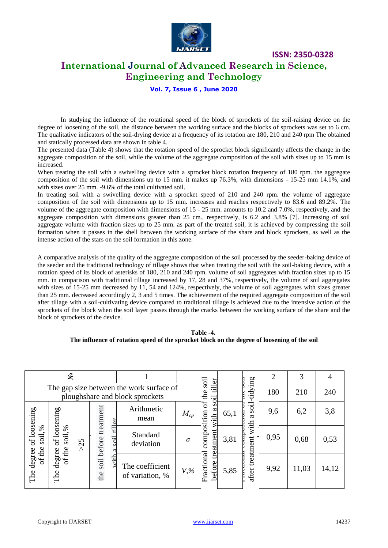

### **International Journal of Advanced Research in Science, Engineering and Technology**

#### **Vol. 7, Issue 6 , June 2020**

In studying the influence of the rotational speed of the block of sprockets of the soil-raising device on the degree of loosening of the soil, the distance between the working surface and the blocks of sprockets was set to 6 cm. The qualitative indicators of the soil-drying device at a frequency of its rotation are 180, 210 and 240 rpm The obtained and statically processed data are shown in table 4.

The presented data (Table 4) shows that the rotation speed of the sprocket block significantly affects the change in the aggregate composition of the soil, while the volume of the aggregate composition of the soil with sizes up to 15 mm is increased.

When treating the soil with a swivelling device with a sprocket block rotation frequency of 180 rpm. the aggregate composition of the soil with dimensions up to 15 mm. it makes up 76.3%, with dimensions - 15-25 mm 14.1%, and with sizes over 25 mm. -9.6% of the total cultivated soil.

In treating soil with a swivelling device with a sprocket speed of 210 and 240 rpm. the volume of aggregate composition of the soil with dimensions up to 15 mm. increases and reaches respectively to 83.6 and 89.2%. The volume of the aggregate composition with dimensions of 15 - 25 mm. amounts to 10.2 and 7.0%, respectively, and the aggregate composition with dimensions greater than 25 cm., respectively, is 6.2 and 3.8% [7]. Increasing of soil aggregate volume with fraction sizes up to 25 mm. as part of the treated soil, it is achieved by compressing the soil formation when it passes in the shell between the working surface of the share and block sprockets, as well as the intense action of the stars on the soil formation in this zone.

A comparative analysis of the quality of the aggregate composition of the soil processed by the seeder-baking device of the seeder and the traditional technology of tillage shows that when treating the soil with the soil-baking device, with a rotation speed of its block of asterisks of 180, 210 and 240 rpm. volume of soil aggregates with fraction sizes up to 15 mm. in comparison with traditional tillage increased by 17, 28 and 37%, respectively, the volume of soil aggregates with sizes of 15-25 mm decreased by 11, 54 and 124%, respectively, the volume of soil aggregates with sizes greater than 25 mm. decreased accordingly 2, 3 and 5 times. The achievement of the required aggregate composition of the soil after tillage with a soil-cultivating device compared to traditional tillage is achieved due to the intensive action of the sprockets of the block when the soil layer passes through the cracks between the working surface of the share and the block of sprockets of the device.

**Table -4. The influence of rotation speed of the sprocket block on the degree of loosening of the soil**

| ৼ                                                                           |                                        |                   |             |              | soil                               |          |                                  | $\overline{2}$ | 3                 | 4    |       |       |
|-----------------------------------------------------------------------------|----------------------------------------|-------------------|-------------|--------------|------------------------------------|----------|----------------------------------|----------------|-------------------|------|-------|-------|
| The gap size between the work surface of<br>ploughshare and block sprockets |                                        |                   |             |              | ller<br>ъ<br>the<br>soil           |          | tidying                          | 180            | 210               | 240  |       |       |
|                                                                             | loosening                              |                   | treatment   |              | Arithmetic<br>mean                 | $M_{cp}$ | ð<br>a<br>with                   | 65,1           | soil.<br>ದ        | 9,6  | 6,2   | 3,8   |
| of loosening<br>$\frac{5}{6}$<br>soil.<br>the                               | $\%$<br>soil.<br>$\mathfrak{b}$<br>the | n<br>$\mathbf{C}$ | soil before | till<br>soil | Standard<br>deviation              | $\sigma$ | composition<br>atment            | 3,81           | with<br>treatment | 0,95 | 0,68  | 0,53  |
| The degree<br>$\mathfrak{b}$                                                | degree<br>$\sigma$<br>The              |                   | the         | with         | The coefficient<br>of variation, % | $V, \%$  | Ë<br>Fractional<br><b>before</b> | 5,85           | after             | 9,92 | 11,03 | 14,12 |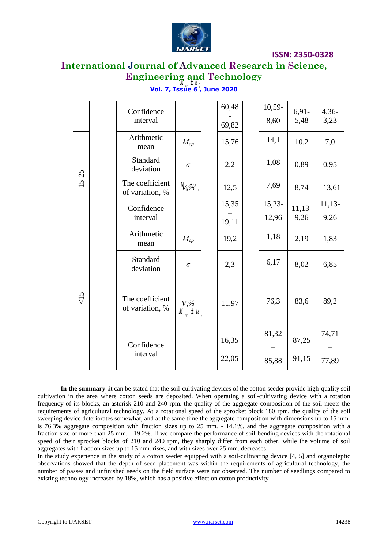

## **International Journal of Advanced Research in Science, Engineering and Technology**

### **Vol. 7, Issue 6 , June 2020**

|           |  | Confidence<br>interval             |                                                                        | 60,48<br>69,82 | $10,59-$<br>8,60 | $6,91-$<br>5,48 | $4,36-$<br>3,23 |
|-----------|--|------------------------------------|------------------------------------------------------------------------|----------------|------------------|-----------------|-----------------|
|           |  | Arithmetic<br>mean                 | $M_{cp}$                                                               | 15,76          | 14,1             | 10,2            | 7,0             |
|           |  | Standard<br>deviation              | $\sigma$                                                               | 2,2            | 1,08             | 0,89            | 0,95            |
| $15 - 25$ |  | The coefficient<br>of variation, % | $\frac{1}{2}$ $\frac{1}{2}$                                            | 12,5           | 7,69             | 8,74            | 13,61           |
|           |  | Confidence<br>interval             |                                                                        | 15,35          | $15,23-$         | $11,13-$        | $11,13-$        |
|           |  |                                    |                                                                        | 19,11          | 12,96            | 9,26            | 9,26            |
|           |  | Arithmetic<br>mean                 | $M_{cp}$                                                               | 19,2           | 1,18             | 2,19            | 1,83            |
|           |  | Standard<br>deviation              | $\sigma$                                                               | 2,3            | 6,17             | 8,02            | 6,85            |
| 55        |  | The coefficient<br>of variation, % | $V_{,\varphi}$<br>$\frac{V_{,\varphi}}{V_{,\varphi}}$ $\frac{1}{L}$ ts | 11,97          | 76,3             | 83,6            | 89,2            |
|           |  | Confidence<br>interval             |                                                                        | 16,35<br>22,05 | 81,32<br>85,88   | 87,25<br>91,15  | 74,71<br>77,89  |

**In the summary .**it can be stated that the soil-cultivating devices of the cotton seeder provide high-quality soil cultivation in the area where cotton seeds are deposited. When operating a soil-cultivating device with a rotation frequency of its blocks, an asterisk 210 and 240 rpm. the quality of the aggregate composition of the soil meets the requirements of agricultural technology. At a rotational speed of the sprocket block 180 rpm, the quality of the soil sweeping device deteriorates somewhat, and at the same time the aggregate composition with dimensions up to 15 mm. is 76.3% aggregate composition with fraction sizes up to 25 mm. - 14.1%, and the aggregate composition with a fraction size of more than 25 mm. - 19.2%. If we compare the performance of soil-bending devices with the rotational speed of their sprocket blocks of 210 and 240 rpm, they sharply differ from each other, while the volume of soil aggregates with fraction sizes up to 15 mm. rises, and with sizes over 25 mm. decreases.

In the study experience in the study of a cotton seeder equipped with a soil-cultivating device [4, 5] and organoleptic observations showed that the depth of seed placement was within the requirements of agricultural technology, the number of passes and unfinished seeds on the field surface were not observed. The number of seedlings compared to existing technology increased by 18%, which has a positive effect on cotton productivity